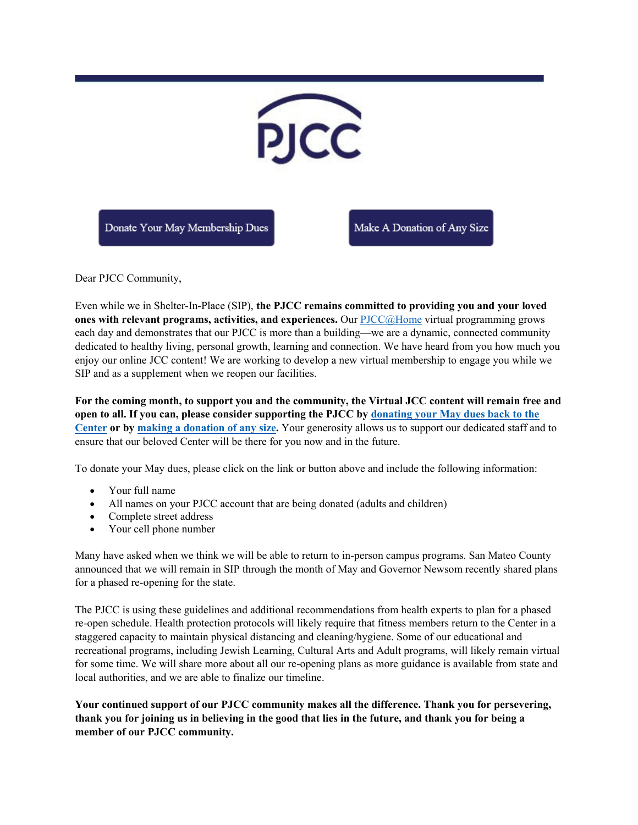

Dear PJCC Community,

Even while we in Shelter-In-Place (SIP), **the PJCC remains committed to providing you and your loved ones with relevant programs, activities, and experiences.** Our **PJCC**@Home virtual programming grows each day and demonstrates that our PJCC is more than a building—we are a dynamic, connected community dedicated to healthy living, personal growth, learning and connection. We have heard from you how much you enjoy our online JCC content! We are working to develop a new virtual membership to engage you while we SIP and as a supplement when we reopen our facilities.

**For the coming month, to support you and the community, the Virtual JCC content will remain free and open to all. If you can, please consider supporting the PJCC by [donating your May dues back to the](mailto:donatemembership@pjcc.org?subject=Keep%20My%20Membership%20Active%20in%20Support%20of%20Staff)  [Center](mailto:donatemembership@pjcc.org?subject=Keep%20My%20Membership%20Active%20in%20Support%20of%20Staff) or by [making a donation of any size.](https://pjcc.acemlna.com/lt.php?s=c42fd1951155c949e7ef75aacbebeb55&i=219A451A88A1786)** Your generosity allows us to support our dedicated staff and to ensure that our beloved Center will be there for you now and in the future.

To donate your May dues, please click on the link or button above and include the following information:

- Your full name
- All names on your PJCC account that are being donated (adults and children)
- Complete street address
- Your cell phone number

Many have asked when we think we will be able to return to in-person campus programs. San Mateo County announced that we will remain in SIP through the month of May and Governor Newsom recently shared plans for a phased re-opening for the state.

The PJCC is using these guidelines and additional recommendations from health experts to plan for a phased re-open schedule. Health protection protocols will likely require that fitness members return to the Center in a staggered capacity to maintain physical distancing and cleaning/hygiene. Some of our educational and recreational programs, including Jewish Learning, Cultural Arts and Adult programs, will likely remain virtual for some time. We will share more about all our re-opening plans as more guidance is available from state and local authorities, and we are able to finalize our timeline.

**Your continued support of our PJCC community makes all the difference. Thank you for persevering, thank you for joining us in believing in the good that lies in the future, and thank you for being a member of our PJCC community.**